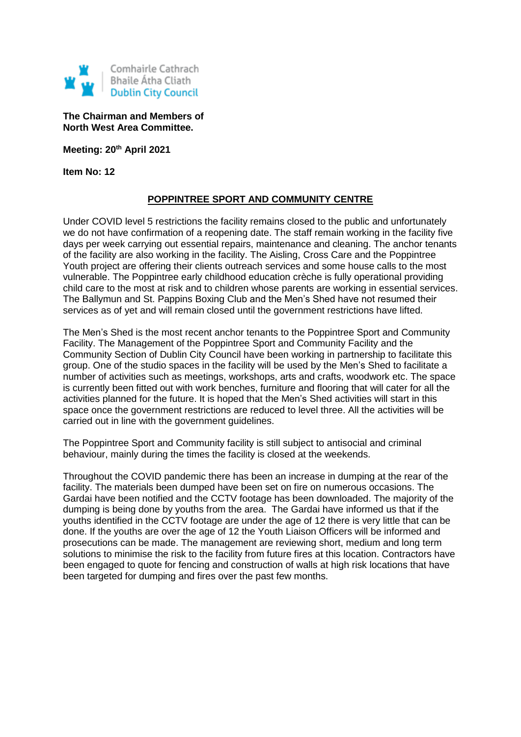

**The Chairman and Members of North West Area Committee.**

**Meeting: 20th April 2021**

**Item No: 12**

## **POPPINTREE SPORT AND COMMUNITY CENTRE**

Under COVID level 5 restrictions the facility remains closed to the public and unfortunately we do not have confirmation of a reopening date. The staff remain working in the facility five days per week carrying out essential repairs, maintenance and cleaning. The anchor tenants of the facility are also working in the facility. The Aisling, Cross Care and the Poppintree Youth project are offering their clients outreach services and some house calls to the most vulnerable. The Poppintree early childhood education crèche is fully operational providing child care to the most at risk and to children whose parents are working in essential services. The Ballymun and St. Pappins Boxing Club and the Men's Shed have not resumed their services as of yet and will remain closed until the government restrictions have lifted.

The Men's Shed is the most recent anchor tenants to the Poppintree Sport and Community Facility. The Management of the Poppintree Sport and Community Facility and the Community Section of Dublin City Council have been working in partnership to facilitate this group. One of the studio spaces in the facility will be used by the Men's Shed to facilitate a number of activities such as meetings, workshops, arts and crafts, woodwork etc. The space is currently been fitted out with work benches, furniture and flooring that will cater for all the activities planned for the future. It is hoped that the Men's Shed activities will start in this space once the government restrictions are reduced to level three. All the activities will be carried out in line with the government guidelines.

The Poppintree Sport and Community facility is still subject to antisocial and criminal behaviour, mainly during the times the facility is closed at the weekends.

Throughout the COVID pandemic there has been an increase in dumping at the rear of the facility. The materials been dumped have been set on fire on numerous occasions. The Gardai have been notified and the CCTV footage has been downloaded. The majority of the dumping is being done by youths from the area. The Gardai have informed us that if the youths identified in the CCTV footage are under the age of 12 there is very little that can be done. If the youths are over the age of 12 the Youth Liaison Officers will be informed and prosecutions can be made. The management are reviewing short, medium and long term solutions to minimise the risk to the facility from future fires at this location. Contractors have been engaged to quote for fencing and construction of walls at high risk locations that have been targeted for dumping and fires over the past few months.